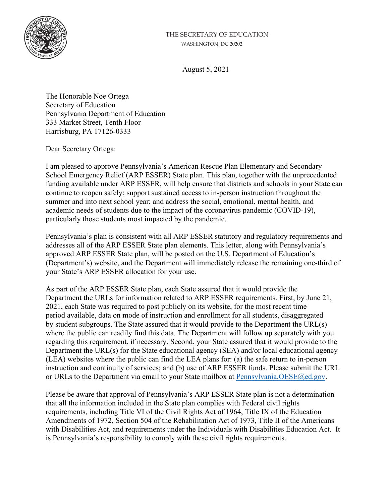## THE SECRETARY OF EDUCATION WASHINGTON, DC 20202



August 5, 2021

The Honorable Noe Ortega Secretary of Education Pennsylvania Department of Education 333 Market Street, Tenth Floor Harrisburg, PA 17126-0333

Dear Secretary Ortega:

I am pleased to approve Pennsylvania's American Rescue Plan Elementary and Secondary School Emergency Relief (ARP ESSER) State plan. This plan, together with the unprecedented funding available under ARP ESSER, will help ensure that districts and schools in your State can continue to reopen safely; support sustained access to in-person instruction throughout the summer and into next school year; and address the social, emotional, mental health, and academic needs of students due to the impact of the coronavirus pandemic (COVID-19), particularly those students most impacted by the pandemic.

Pennsylvania's plan is consistent with all ARP ESSER statutory and regulatory requirements and addresses all of the ARP ESSER State plan elements. This letter, along with Pennsylvania's approved ARP ESSER State plan, will be posted on the U.S. Department of Education's (Department's) website, and the Department will immediately release the remaining one-third of your State's ARP ESSER allocation for your use.

As part of the ARP ESSER State plan, each State assured that it would provide the Department the URLs for information related to ARP ESSER requirements. First, by June 21, 2021, each State was required to post publicly on its website, for the most recent time period available, data on mode of instruction and enrollment for all students, disaggregated by student subgroups. The State assured that it would provide to the Department the URL(s) where the public can readily find this data. The Department will follow up separately with you regarding this requirement, if necessary. Second, your State assured that it would provide to the Department the URL(s) for the State educational agency (SEA) and/or local educational agency (LEA) websites where the public can find the LEA plans for: (a) the safe return to in-person instruction and continuity of services; and (b) use of ARP ESSER funds. Please submit the URL or URLs to the Department via email to your State mailbox at [Pennsylvania.OESE@ed.gov.](mailto:Pennsylvania.OESE@ed.gov)

Please be aware that approval of Pennsylvania's ARP ESSER State plan is not a determination that all the information included in the State plan complies with Federal civil rights requirements, including Title VI of the Civil Rights Act of 1964, Title IX of the Education Amendments of 1972, Section 504 of the Rehabilitation Act of 1973, Title II of the Americans with Disabilities Act, and requirements under the Individuals with Disabilities Education Act. It is Pennsylvania's responsibility to comply with these civil rights requirements.